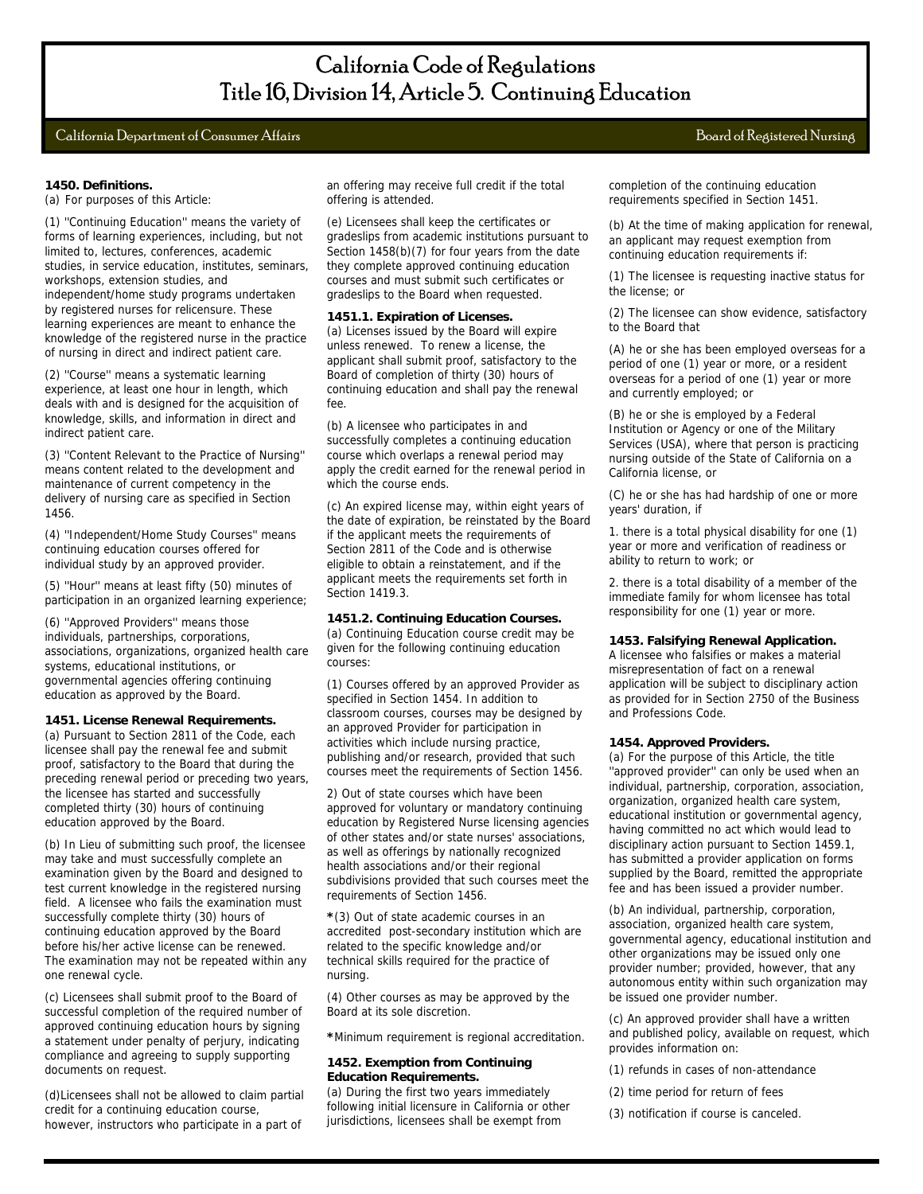# California Department of Consumer Affairs Board of Registered Nursing

## **1450. Definitions.**

(a) For purposes of this Article:

(1) ''Continuing Education'' means the variety of forms of learning experiences, including, but not limited to, lectures, conferences, academic studies, in service education, institutes, seminars, workshops, extension studies, and independent/home study programs undertaken by registered nurses for relicensure. These learning experiences are meant to enhance the knowledge of the registered nurse in the practice of nursing in direct and indirect patient care.

(2) ''Course'' means a systematic learning experience, at least one hour in length, which deals with and is designed for the acquisition of knowledge, skills, and information in direct and indirect patient care.

(3) ''Content Relevant to the Practice of Nursing'' means content related to the development and maintenance of current competency in the delivery of nursing care as specified in Section 1456.

(4) ''Independent/Home Study Courses'' means continuing education courses offered for individual study by an approved provider.

(5) ''Hour'' means at least fifty (50) minutes of participation in an organized learning experience;

(6) ''Approved Providers'' means those individuals, partnerships, corporations, associations, organizations, organized health care systems, educational institutions, or governmental agencies offering continuing education as approved by the Board.

## **1451. License Renewal Requirements.**

(a) Pursuant to Section 2811 of the Code, each licensee shall pay the renewal fee and submit proof, satisfactory to the Board that during the preceding renewal period or preceding two years, the licensee has started and successfully completed thirty (30) hours of continuing education approved by the Board.

(b) In Lieu of submitting such proof, the licensee may take and must successfully complete an examination given by the Board and designed to test current knowledge in the registered nursing field. A licensee who fails the examination must successfully complete thirty (30) hours of continuing education approved by the Board before his/her active license can be renewed. The examination may not be repeated within any one renewal cycle.

(c) Licensees shall submit proof to the Board of successful completion of the required number of approved continuing education hours by signing a statement under penalty of perjury, indicating compliance and agreeing to supply supporting documents on request.

(d)Licensees shall not be allowed to claim partial credit for a continuing education course, however, instructors who participate in a part of an offering may receive full credit if the total offering is attended.

(e) Licensees shall keep the certificates or gradeslips from academic institutions pursuant to Section 1458(b)(7) for four years from the date they complete approved continuing education courses and must submit such certificates or gradeslips to the Board when requested.

#### **1451.1. Expiration of Licenses.**

(a) Licenses issued by the Board will expire unless renewed. To renew a license, the applicant shall submit proof, satisfactory to the Board of completion of thirty (30) hours of continuing education and shall pay the renewal fee.

(b) A licensee who participates in and successfully completes a continuing education course which overlaps a renewal period may apply the credit earned for the renewal period in which the course ends.

(c) An expired license may, within eight years of the date of expiration, be reinstated by the Board if the applicant meets the requirements of Section 2811 of the Code and is otherwise eligible to obtain a reinstatement, and if the applicant meets the requirements set forth in Section 1419.3.

# **1451.2. Continuing Education Courses.**

(a) Continuing Education course credit may be given for the following continuing education courses:

(1) Courses offered by an approved Provider as specified in Section 1454. In addition to classroom courses, courses may be designed by an approved Provider for participation in activities which include nursing practice, publishing and/or research, provided that such courses meet the requirements of Section 1456.

2) Out of state courses which have been approved for voluntary or mandatory continuing education by Registered Nurse licensing agencies of other states and/or state nurses' associations, as well as offerings by nationally recognized health associations and/or their regional subdivisions provided that such courses meet the requirements of Section 1456.

**\***(3) Out of state academic courses in an accredited post-secondary institution which are related to the specific knowledge and/or technical skills required for the practice of nursing.

(4) Other courses as may be approved by the Board at its sole discretion.

**\***Minimum requirement is regional accreditation.

#### **1452. Exemption from Continuing Education Requirements.**

(a) During the first two years immediately following initial licensure in California or other jurisdictions, licensees shall be exempt from

completion of the continuing education requirements specified in Section 1451.

(b) At the time of making application for renewal, an applicant may request exemption from continuing education requirements if:

(1) The licensee is requesting inactive status for the license; or

(2) The licensee can show evidence, satisfactory to the Board that

(A) he or she has been employed overseas for a period of one (1) year or more, or a resident overseas for a period of one (1) year or more and currently employed; or

(B) he or she is employed by a Federal Institution or Agency or one of the Military Services (USA), where that person is practicing nursing outside of the State of California on a California license, or

(C) he or she has had hardship of one or more years' duration, if

1. there is a total physical disability for one (1) year or more and verification of readiness or ability to return to work; or

2. there is a total disability of a member of the immediate family for whom licensee has total responsibility for one (1) year or more.

## **1453. Falsifying Renewal Application.**

A licensee who falsifies or makes a material misrepresentation of fact on a renewal application will be subject to disciplinary action as provided for in Section 2750 of the Business and Professions Code.

#### **1454. Approved Providers.**

(a) For the purpose of this Article, the title ''approved provider'' can only be used when an individual, partnership, corporation, association, organization, organized health care system, educational institution or governmental agency, having committed no act which would lead to disciplinary action pursuant to Section 1459.1, has submitted a provider application on forms supplied by the Board, remitted the appropriate fee and has been issued a provider number.

(b) An individual, partnership, corporation, association, organized health care system, governmental agency, educational institution and other organizations may be issued only one provider number; provided, however, that any autonomous entity within such organization may be issued one provider number.

(c) An approved provider shall have a written and published policy, available on request, which provides information on:

- (1) refunds in cases of non-attendance
- (2) time period for return of fees
- (3) notification if course is canceled.